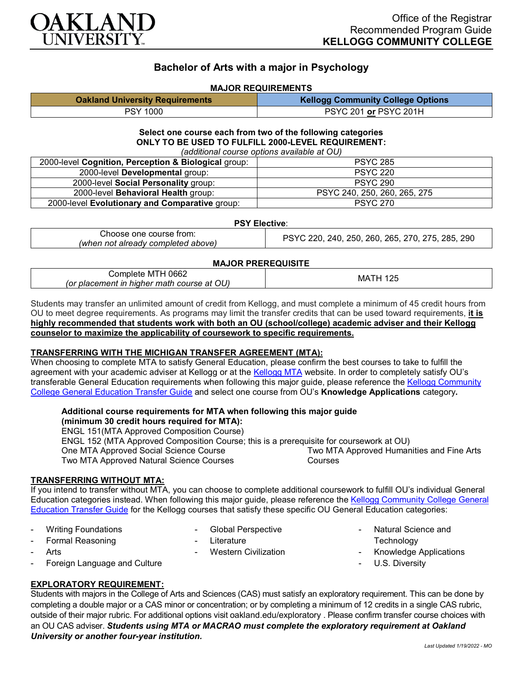

# **Bachelor of Arts with a major in Psychology**

### **MAJOR REQUIREMENTS**

| <b>Oakland University Requirements</b> | <b>Kellogg Community College Options</b> |
|----------------------------------------|------------------------------------------|
| <b>PSY 1000</b>                        | PSYC 201 or PSYC 201H                    |

#### **Select one course each from two of the following categories ONLY TO BE USED TO FULFILL 2000-LEVEL REQUIREMENT:** *(additional course options available at OU)*

| (additional course options available at OO)          |                              |  |
|------------------------------------------------------|------------------------------|--|
| 2000-level Cognition, Perception & Biological group: | <b>PSYC 285</b>              |  |
| 2000-level Developmental group:                      | <b>PSYC 220</b>              |  |
| 2000-level Social Personality group:                 | <b>PSYC 290</b>              |  |
| 2000-level Behavioral Health group:                  | PSYC 240, 250, 260, 265, 275 |  |
| 2000-level Evolutionary and Comparative group:       | <b>PSYC 270</b>              |  |

#### **PSY Elective**:

| Choose one course from:            | , 240, 250, 260, 265, 270, 275, 285, 290<br>220,<br>PSYC |
|------------------------------------|----------------------------------------------------------|
| (when not already completed above) |                                                          |

#### **MAJOR PREREQUISITE**

| 0662<br>⊃omplete ″<br>MI<br>. .                         | МA<br>▎∠◟ |
|---------------------------------------------------------|-----------|
| OU)<br>higher math<br>(or placement in<br>i course at ' |           |

Students may transfer an unlimited amount of credit from Kellogg, and must complete a minimum of 45 credit hours from OU to meet degree requirements. As programs may limit the transfer credits that can be used toward requirements, **it is highly recommended that students work with both an OU (school/college) academic adviser and their Kellogg counselor to maximize the applicability of coursework to specific requirements.**

#### **TRANSFERRING WITH THE MICHIGAN TRANSFER AGREEMENT (MTA):**

When choosing to complete MTA to satisfy General Education, please confirm the best courses to take to fulfill the agreement with your academic adviser at Kellogg or at the [Kellogg MTA](http://catalog.kellogg.edu/content.php?catoid=16&navoid=705&hl=Michigan+Transfer+Agreement&returnto=search) website. In order to completely satisfy OU's transferable General Education requirements when following this major guide, please reference the Kellogg Community [College General Education Transfer Guide](https://www.oakland.edu/Assets/Oakland/program-guides/kellogg-community-college/university-general-education-requirements/Kellogg%20Gen%20Ed.pdf) and select one course from OU's **Knowledge Applications** category**.**

## **Additional course requirements for MTA when following this major guide**

**(minimum 30 credit hours required for MTA):**

ENGL 151(MTA Approved Composition Course)

ENGL 152 (MTA Approved Composition Course; this is a prerequisite for coursework at OU) One MTA Approved Social Science Course Two MTA Approved Natural Science Courses Two MTA Approved Humanities and Fine Arts Courses

#### **TRANSFERRING WITHOUT MTA:**

If you intend to transfer without MTA, you can choose to complete additional coursework to fulfill OU's individual General Education categories instead. When following this major guide, please reference the [Kellogg Community College General](https://www.oakland.edu/Assets/Oakland/program-guides/kellogg-community-college/university-general-education-requirements/Kellogg%20Gen%20Ed.pdf)  [Education Transfer Guide](https://www.oakland.edu/Assets/Oakland/program-guides/kellogg-community-college/university-general-education-requirements/Kellogg%20Gen%20Ed.pdf) for the Kellogg courses that satisfy these specific OU General Education categories:

**Writing Foundations** 

Global Perspective

- Western Civilization

Formal Reasoning

- **Literature**
- 
- **Arts**
- Foreign Language and Culture

## **EXPLORATORY REQUIREMENT:**

Students with majors in the College of Arts and Sciences (CAS) must satisfy an exploratory requirement. This can be done by completing a double major or a CAS minor or concentration; or by completing a minimum of 12 credits in a single CAS rubric, outside of their major rubric. For additional options visit [oakland.edu/exploratory](http://www.oakland.edu/exploratory) . Please confirm transfer course choices with an OU CAS adviser. *Students using MTA or MACRAO must complete the exploratory requirement at Oakland University or another four-year institution.*

- Natural Science and

- Knowledge Applications

**Technology** 

U.S. Diversity